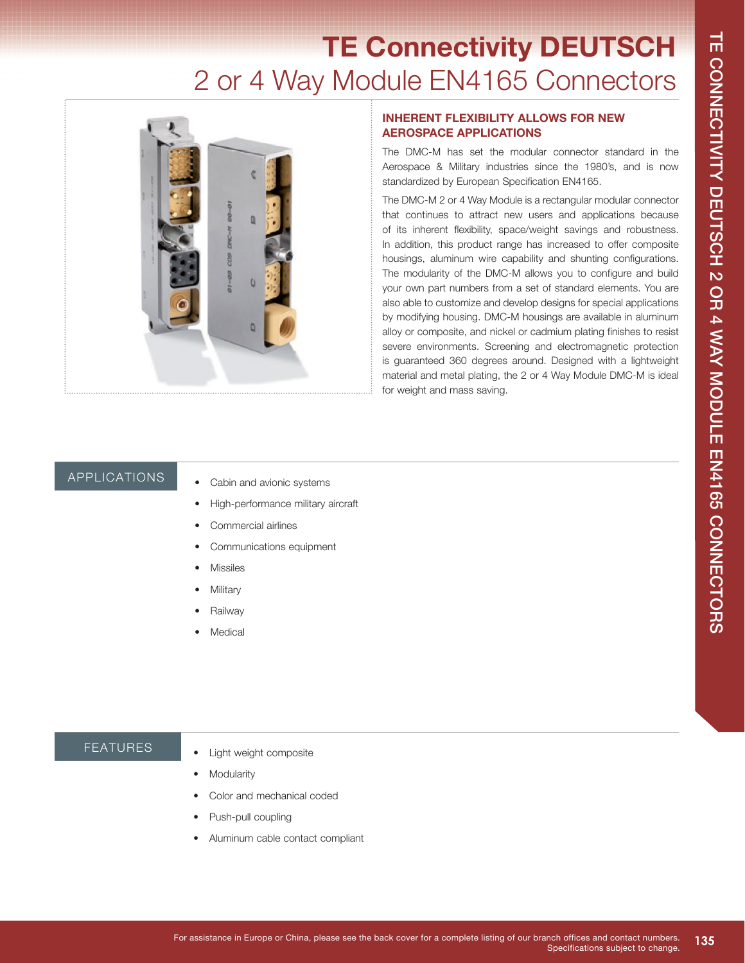# **TE Connectivity DEUTSCH**  2 or 4 Way Module EN4165 Connectors



### **INHERENT FLEXIBILITY ALLOWS FOR NEW AEROSPACE APPLICATIONS**

The DMC-M has set the modular connector standard in the Aerospace & Military industries since the 1980's, and is now standardized by European Specification EN4165.

The DMC-M 2 or 4 Way Module is a rectangular modular connector that continues to attract new users and applications because of its inherent flexibility, space/weight savings and robustness. In addition, this product range has increased to offer composite housings, aluminum wire capability and shunting configurations. The modularity of the DMC-M allows you to configure and build your own part numbers from a set of standard elements. You are also able to customize and develop designs for special applications by modifying housing. DMC-M housings are available in aluminum alloy or composite, and nickel or cadmium plating finishes to resist severe environments. Screening and electromagnetic protection is guaranteed 360 degrees around. Designed with a lightweight material and metal plating, the 2 or 4 Way Module DMC-M is ideal for weight and mass saving.

## APPLICATIONS

- Cabin and avionic systems
- High-performance military aircraft
- Commercial airlines
- Communications equipment
- **Missiles**
- **Military**
- Railway
- **Medical**

#### FEATURES

- Light weight composite
- **Modularity**
- Color and mechanical coded
- Push-pull coupling
- Aluminum cable contact compliant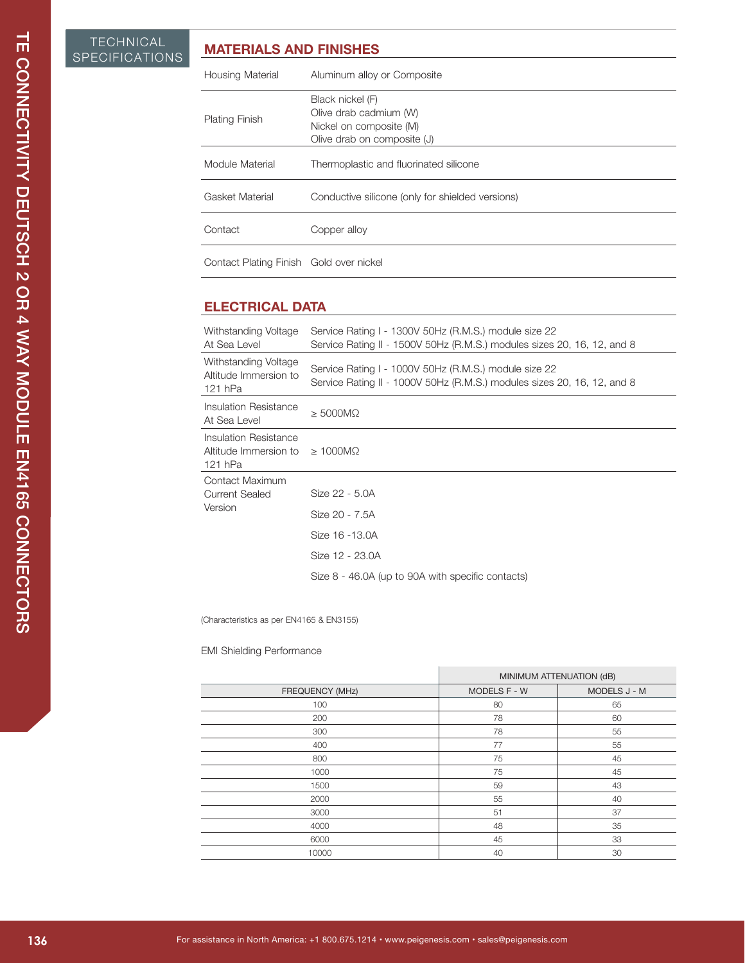## **MATERIALS AND FINISHES**

| <b>Housing Material</b>                 | Aluminum alloy or Composite                                                                          |
|-----------------------------------------|------------------------------------------------------------------------------------------------------|
| <b>Plating Finish</b>                   | Black nickel (F)<br>Olive drab cadmium (W)<br>Nickel on composite (M)<br>Olive drab on composite (J) |
| Module Material                         | Thermoplastic and fluorinated silicone                                                               |
| Gasket Material                         | Conductive silicone (only for shielded versions)                                                     |
| Contact                                 | Copper alloy                                                                                         |
| Contact Plating Finish Gold over nickel |                                                                                                      |

# **ELECTRICAL DATA**

| <b>TECHNICAL</b><br>SPECIFICATIONS | <b>MATERIALS AND FINISHES</b>                                                |                                                                                                      |                                                                                                                                  |              |
|------------------------------------|------------------------------------------------------------------------------|------------------------------------------------------------------------------------------------------|----------------------------------------------------------------------------------------------------------------------------------|--------------|
|                                    | Housing Material                                                             | Aluminum alloy or Composite                                                                          |                                                                                                                                  |              |
|                                    | Plating Finish                                                               | Black nickel (F)<br>Olive drab cadmium (W)<br>Nickel on composite (M)<br>Olive drab on composite (J) |                                                                                                                                  |              |
|                                    | Module Material                                                              | Thermoplastic and fluorinated silicone                                                               |                                                                                                                                  |              |
|                                    | <b>Gasket Material</b>                                                       | Conductive silicone (only for shielded versions)                                                     |                                                                                                                                  |              |
|                                    | Contact                                                                      | Copper alloy                                                                                         |                                                                                                                                  |              |
|                                    | Contact Plating Finish Gold over nickel                                      |                                                                                                      |                                                                                                                                  |              |
|                                    | <b>ELECTRICAL DATA</b>                                                       |                                                                                                      |                                                                                                                                  |              |
|                                    | Withstanding Voltage<br>At Sea Level                                         |                                                                                                      | Service Rating I - 1300V 50Hz (R.M.S.) module size 22<br>Service Rating II - 1500V 50Hz (R.M.S.) modules sizes 20, 16, 12, and 8 |              |
|                                    | Withstanding Voltage<br>Altitude Immersion to<br>121 hPa                     |                                                                                                      | Service Rating I - 1000V 50Hz (R.M.S.) module size 22<br>Service Rating II - 1000V 50Hz (R.M.S.) modules sizes 20, 16, 12, and 8 |              |
|                                    | <b>Insulation Resistance</b><br>At Sea Level                                 | $\geq 5000M\Omega$                                                                                   |                                                                                                                                  |              |
|                                    | <b>Insulation Resistance</b><br>Altitude Immersion to<br>121 hPa             | $\geq 1000M\Omega$                                                                                   |                                                                                                                                  |              |
|                                    | Contact Maximum<br><b>Current Sealed</b>                                     | Size 22 - 5.0A                                                                                       |                                                                                                                                  |              |
|                                    | Version                                                                      | Size 20 - 7.5A                                                                                       |                                                                                                                                  |              |
|                                    |                                                                              | Size 16 - 13.0A                                                                                      |                                                                                                                                  |              |
|                                    |                                                                              | Size 12 - 23.0A                                                                                      |                                                                                                                                  |              |
|                                    | (Characteristics as per EN4165 & EN3155)<br><b>EMI Shielding Performance</b> |                                                                                                      | Size 8 - 46.0A (up to 90A with specific contacts)                                                                                |              |
|                                    |                                                                              |                                                                                                      | MINIMUM ATTENUATION (dB)                                                                                                         |              |
|                                    |                                                                              | FREQUENCY (MHz)                                                                                      | MODELS F - W                                                                                                                     | MODELS J - M |
|                                    |                                                                              | 100<br>200                                                                                           | 80<br>78                                                                                                                         | 65<br>60     |
|                                    |                                                                              | 300                                                                                                  | 78                                                                                                                               | 55           |
|                                    |                                                                              | 400                                                                                                  | 77                                                                                                                               | 55           |
|                                    |                                                                              | 800<br>1000                                                                                          | 75<br>75                                                                                                                         | 45<br>45     |
|                                    |                                                                              | 1500                                                                                                 | 59                                                                                                                               | 43           |
|                                    |                                                                              |                                                                                                      | 55                                                                                                                               |              |
|                                    |                                                                              | 2000                                                                                                 |                                                                                                                                  | 40           |
|                                    |                                                                              | 3000                                                                                                 | 51                                                                                                                               | 37           |
|                                    |                                                                              | 4000<br>6000                                                                                         | 48<br>45                                                                                                                         | 35<br>33     |

#### EMI Shielding Performance

|                 |                     | MINIMUM ATTENUATION (dB) |  |
|-----------------|---------------------|--------------------------|--|
| FREQUENCY (MHz) | <b>MODELS F - W</b> | MODELS J - M             |  |
| 100             | 80                  | 65                       |  |
| 200             | 78                  | 60                       |  |
| 300             | 78                  | 55                       |  |
| 400             | 77                  | 55                       |  |
| 800             | 75                  | 45                       |  |
| 1000            | 75                  | 45                       |  |
| 1500            | 59                  | 43                       |  |
| 2000            | 55                  | 40                       |  |
| 3000            | 51                  | 37                       |  |
| 4000            | 48                  | 35                       |  |
| 6000            | 45                  | 33                       |  |
| 10000           | 40                  | 30                       |  |